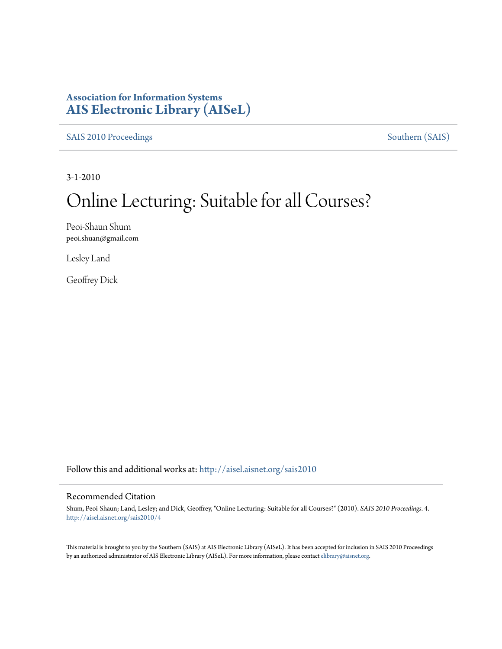### **Association for Information Systems [AIS Electronic Library \(AISeL\)](http://aisel.aisnet.org?utm_source=aisel.aisnet.org%2Fsais2010%2F4&utm_medium=PDF&utm_campaign=PDFCoverPages)**

[SAIS 2010 Proceedings](http://aisel.aisnet.org/sais2010?utm_source=aisel.aisnet.org%2Fsais2010%2F4&utm_medium=PDF&utm_campaign=PDFCoverPages) [Southern \(SAIS\)](http://aisel.aisnet.org/sais?utm_source=aisel.aisnet.org%2Fsais2010%2F4&utm_medium=PDF&utm_campaign=PDFCoverPages)

3-1-2010

# Online Lecturing: Suitable for all Courses?

Peoi-Shaun Shum peoi.shuan@gmail.com

Lesley Land

Geoffrey Dick

Follow this and additional works at: [http://aisel.aisnet.org/sais2010](http://aisel.aisnet.org/sais2010?utm_source=aisel.aisnet.org%2Fsais2010%2F4&utm_medium=PDF&utm_campaign=PDFCoverPages)

#### Recommended Citation

Shum, Peoi-Shaun; Land, Lesley; and Dick, Geoffrey, "Online Lecturing: Suitable for all Courses?" (2010). *SAIS 2010 Proceedings*. 4. [http://aisel.aisnet.org/sais2010/4](http://aisel.aisnet.org/sais2010/4?utm_source=aisel.aisnet.org%2Fsais2010%2F4&utm_medium=PDF&utm_campaign=PDFCoverPages)

This material is brought to you by the Southern (SAIS) at AIS Electronic Library (AISeL). It has been accepted for inclusion in SAIS 2010 Proceedings by an authorized administrator of AIS Electronic Library (AISeL). For more information, please contact [elibrary@aisnet.org](mailto:elibrary@aisnet.org%3E).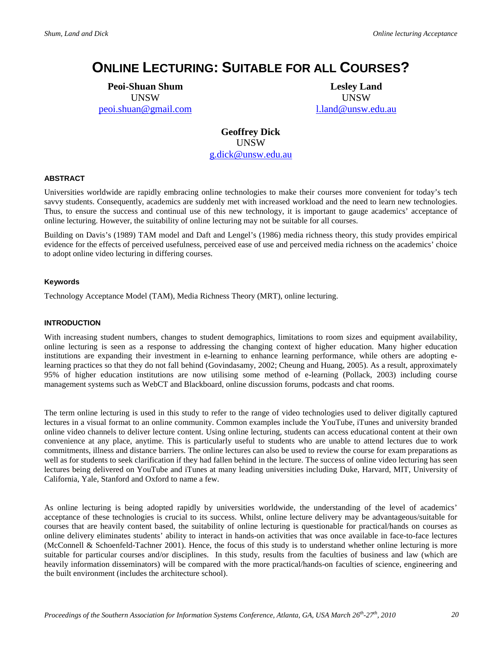## **ONLINE LECTURING: SUITABLE FOR ALL COURSES?**

**Peoi-Shuan Shum** UNSW [peoi.shuan@gmail.com](mailto:peoi.shuan@gmail.com) 

**Lesley Land** UNSW [l.land@unsw.edu.au](mailto:l.land@unsw.edu.au) 

**Geoffrey Dick** UNSW [g.dick@unsw.edu.au](mailto:g.dick@unsw.edu.au) 

#### **ABSTRACT**

Universities worldwide are rapidly embracing online technologies to make their courses more convenient for today's tech savvy students. Consequently, academics are suddenly met with increased workload and the need to learn new technologies. Thus, to ensure the success and continual use of this new technology, it is important to gauge academics' acceptance of online lecturing. However, the suitability of online lecturing may not be suitable for all courses.

Building on Davis's (1989) TAM model and Daft and Lengel's (1986) media richness theory, this study provides empirical evidence for the effects of perceived usefulness, perceived ease of use and perceived media richness on the academics' choice to adopt online video lecturing in differing courses.

#### **Keywords**

Technology Acceptance Model (TAM), Media Richness Theory (MRT), online lecturing.

#### **INTRODUCTION**

With increasing student numbers, changes to student demographics, limitations to room sizes and equipment availability, online lecturing is seen as a response to addressing the changing context of higher education. Many higher education institutions are expanding their investment in e-learning to enhance learning performance, while others are adopting elearning practices so that they do not fall behind (Govindasamy, 2002; Cheung and Huang, 2005). As a result, approximately 95% of higher education institutions are now utilising some method of e-learning (Pollack, 2003) including course management systems such as WebCT and Blackboard, online discussion forums, podcasts and chat rooms.

The term online lecturing is used in this study to refer to the range of video technologies used to deliver digitally captured lectures in a visual format to an online community. Common examples include the YouTube, iTunes and university branded online video channels to deliver lecture content. Using online lecturing, students can access educational content at their own convenience at any place, anytime. This is particularly useful to students who are unable to attend lectures due to work commitments, illness and distance barriers. The online lectures can also be used to review the course for exam preparations as well as for students to seek clarification if they had fallen behind in the lecture. The success of online video lecturing has seen lectures being delivered on YouTube and iTunes at many leading universities including Duke, Harvard, MIT, University of California, Yale, Stanford and Oxford to name a few.

As online lecturing is being adopted rapidly by universities worldwide, the understanding of the level of academics' acceptance of these technologies is crucial to its success. Whilst, online lecture delivery may be advantageous/suitable for courses that are heavily content based, the suitability of online lecturing is questionable for practical/hands on courses as online delivery eliminates students' ability to interact in hands-on activities that was once available in face-to-face lectures (McConnell & Schoenfeld-Tachner 2001). Hence, the focus of this study is to understand whether online lecturing is more suitable for particular courses and/or disciplines. In this study, results from the faculties of business and law (which are heavily information disseminators) will be compared with the more practical/hands-on faculties of science, engineering and the built environment (includes the architecture school).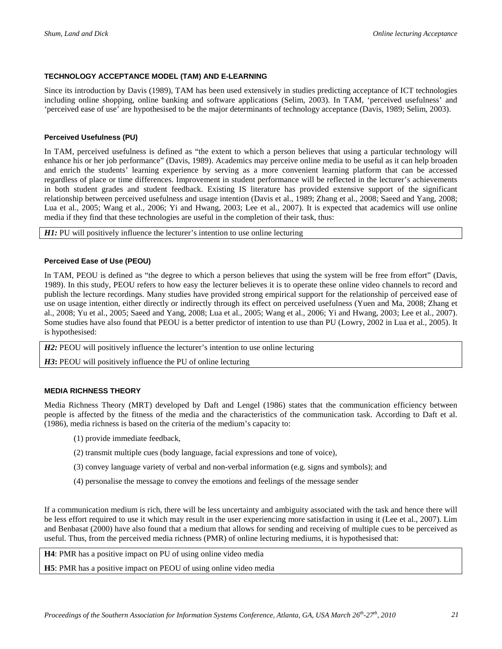#### **TECHNOLOGY ACCEPTANCE MODEL (TAM) AND E-LEARNING**

Since its introduction by Davis (1989), TAM has been used extensively in studies predicting acceptance of ICT technologies including online shopping, online banking and software applications (Selim, 2003). In TAM, 'perceived usefulness' and 'perceived ease of use' are hypothesised to be the major determinants of technology acceptance (Davis, 1989; Selim, 2003).

#### **Perceived Usefulness (PU)**

In TAM, perceived usefulness is defined as "the extent to which a person believes that using a particular technology will enhance his or her job performance" (Davis, 1989). Academics may perceive online media to be useful as it can help broaden and enrich the students' learning experience by serving as a more convenient learning platform that can be accessed regardless of place or time differences. Improvement in student performance will be reflected in the lecturer's achievements in both student grades and student feedback. Existing IS literature has provided extensive support of the significant relationship between perceived usefulness and usage intention (Davis et al., 1989; Zhang et al., 2008; Saeed and Yang, 2008; Lua et al., 2005; Wang et al., 2006; Yi and Hwang, 2003; Lee et al., 2007). It is expected that academics will use online media if they find that these technologies are useful in the completion of their task, thus:

*H1:* PU will positively influence the lecturer's intention to use online lecturing

#### **Perceived Ease of Use (PEOU)**

In TAM, PEOU is defined as "the degree to which a person believes that using the system will be free from effort" (Davis, 1989). In this study, PEOU refers to how easy the lecturer believes it is to operate these online video channels to record and publish the lecture recordings. Many studies have provided strong empirical support for the relationship of perceived ease of use on usage intention, either directly or indirectly through its effect on perceived usefulness (Yuen and Ma, 2008; Zhang et al., 2008; Yu et al., 2005; Saeed and Yang, 2008; Lua et al., 2005; Wang et al., 2006; Yi and Hwang, 2003; Lee et al., 2007). Some studies have also found that PEOU is a better predictor of intention to use than PU (Lowry, 2002 in Lua et al., 2005). It is hypothesised:

*H2:* PEOU will positively influence the lecturer's intention to use online lecturing

*H3***:** PEOU will positively influence the PU of online lecturing

#### **MEDIA RICHNESS THEORY**

Media Richness Theory (MRT) developed by Daft and Lengel (1986) states that the communication efficiency between people is affected by the fitness of the media and the characteristics of the communication task. According to Daft et al. (1986), media richness is based on the criteria of the medium's capacity to:

- (1) provide immediate feedback,
- (2) transmit multiple cues (body language, facial expressions and tone of voice),
- (3) convey language variety of verbal and non-verbal information (e.g. signs and symbols); and
- (4) personalise the message to convey the emotions and feelings of the message sender

If a communication medium is rich, there will be less uncertainty and ambiguity associated with the task and hence there will be less effort required to use it which may result in the user experiencing more satisfaction in using it (Lee et al., 2007). Lim and Benbasat (2000) have also found that a medium that allows for sending and receiving of multiple cues to be perceived as useful. Thus, from the perceived media richness (PMR) of online lecturing mediums, it is hypothesised that:

**H4**: PMR has a positive impact on PU of using online video media

**H5**: PMR has a positive impact on PEOU of using online video media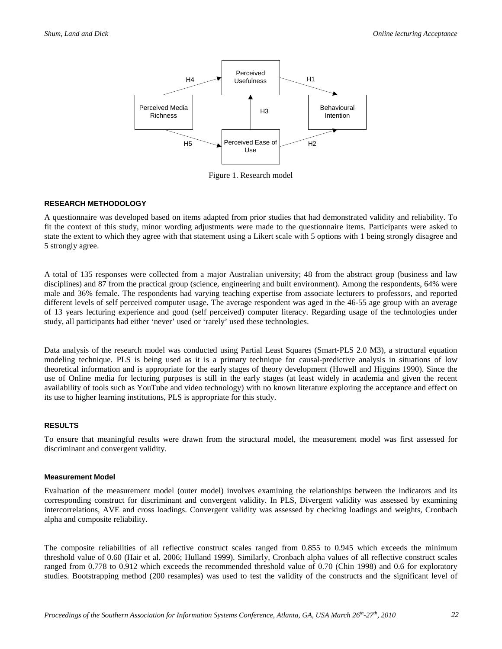

Figure 1. Research model

#### **RESEARCH METHODOLOGY**

A questionnaire was developed based on items adapted from prior studies that had demonstrated validity and reliability. To fit the context of this study, minor wording adjustments were made to the questionnaire items. Participants were asked to state the extent to which they agree with that statement using a Likert scale with 5 options with 1 being strongly disagree and 5 strongly agree.

A total of 135 responses were collected from a major Australian university; 48 from the abstract group (business and law disciplines) and 87 from the practical group (science, engineering and built environment). Among the respondents, 64% were male and 36% female. The respondents had varying teaching expertise from associate lecturers to professors, and reported different levels of self perceived computer usage. The average respondent was aged in the 46-55 age group with an average of 13 years lecturing experience and good (self perceived) computer literacy. Regarding usage of the technologies under study, all participants had either 'never' used or 'rarely' used these technologies.

Data analysis of the research model was conducted using Partial Least Squares (Smart-PLS 2.0 M3), a structural equation modeling technique. PLS is being used as it is a primary technique for causal-predictive analysis in situations of low theoretical information and is appropriate for the early stages of theory development (Howell and Higgins 1990). Since the use of Online media for lecturing purposes is still in the early stages (at least widely in academia and given the recent availability of tools such as YouTube and video technology) with no known literature exploring the acceptance and effect on its use to higher learning institutions, PLS is appropriate for this study.

#### **RESULTS**

To ensure that meaningful results were drawn from the structural model, the measurement model was first assessed for discriminant and convergent validity.

#### **Measurement Model**

Evaluation of the measurement model (outer model) involves examining the relationships between the indicators and its corresponding construct for discriminant and convergent validity. In PLS, Divergent validity was assessed by examining intercorrelations, AVE and cross loadings. Convergent validity was assessed by checking loadings and weights, Cronbach alpha and composite reliability.

The composite reliabilities of all reflective construct scales ranged from 0.855 to 0.945 which exceeds the minimum threshold value of 0.60 (Hair et al. 2006; Hulland 1999). Similarly, Cronbach alpha values of all reflective construct scales ranged from 0.778 to 0.912 which exceeds the recommended threshold value of 0.70 (Chin 1998) and 0.6 for exploratory studies. Bootstrapping method (200 resamples) was used to test the validity of the constructs and the significant level of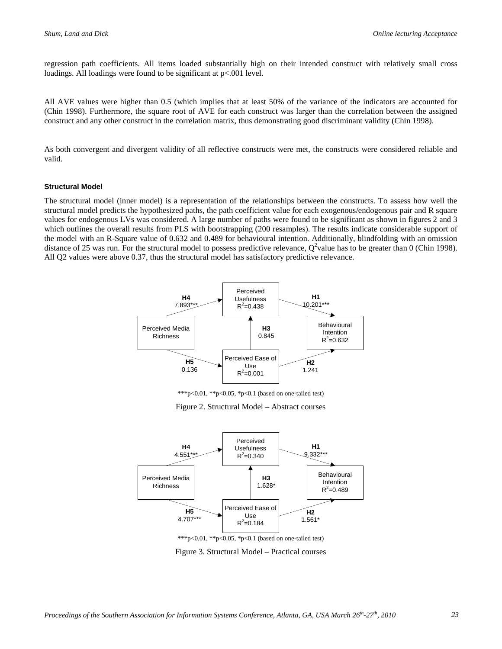regression path coefficients. All items loaded substantially high on their intended construct with relatively small cross loadings. All loadings were found to be significant at  $p<0.001$  level.

All AVE values were higher than 0.5 (which implies that at least 50% of the variance of the indicators are accounted for (Chin 1998). Furthermore, the square root of AVE for each construct was larger than the correlation between the assigned construct and any other construct in the correlation matrix, thus demonstrating good discriminant validity (Chin 1998).

As both convergent and divergent validity of all reflective constructs were met, the constructs were considered reliable and valid.

#### **Structural Model**

The structural model (inner model) is a representation of the relationships between the constructs. To assess how well the structural model predicts the hypothesized paths, the path coefficient value for each exogenous/endogenous pair and R square values for endogenous LVs was considered. A large number of paths were found to be significant as shown in figures 2 and 3 which outlines the overall results from PLS with bootstrapping (200 resamples). The results indicate considerable support of the model with an R-Square value of 0.632 and 0.489 for behavioural intention. Additionally, blindfolding with an omission distance of 25 was run. For the structural model to possess predictive relevance,  $Q^2$ value has to be greater than 0 (Chin 1998). All Q2 values were above 0.37, thus the structural model has satisfactory predictive relevance.



\*\*\*p<0.01, \*\*p<0.05, \*p<0.1 (based on one-tailed test)

Figure 2. Structural Model – Abstract courses



Figure 3. Structural Model – Practical courses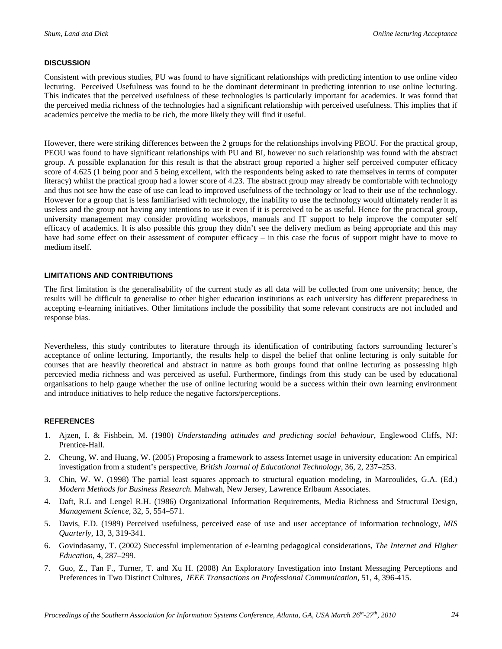#### **DISCUSSION**

Consistent with previous studies, PU was found to have significant relationships with predicting intention to use online video lecturing. Perceived Usefulness was found to be the dominant determinant in predicting intention to use online lecturing. This indicates that the perceived usefulness of these technologies is particularly important for academics. It was found that the perceived media richness of the technologies had a significant relationship with perceived usefulness. This implies that if academics perceive the media to be rich, the more likely they will find it useful.

However, there were striking differences between the 2 groups for the relationships involving PEOU. For the practical group, PEOU was found to have significant relationships with PU and BI, however no such relationship was found with the abstract group. A possible explanation for this result is that the abstract group reported a higher self perceived computer efficacy score of 4.625 (1 being poor and 5 being excellent, with the respondents being asked to rate themselves in terms of computer literacy) whilst the practical group had a lower score of 4.23. The abstract group may already be comfortable with technology and thus not see how the ease of use can lead to improved usefulness of the technology or lead to their use of the technology. However for a group that is less familiarised with technology, the inability to use the technology would ultimately render it as useless and the group not having any intentions to use it even if it is perceived to be as useful. Hence for the practical group, university management may consider providing workshops, manuals and IT support to help improve the computer self efficacy of academics. It is also possible this group they didn't see the delivery medium as being appropriate and this may have had some effect on their assessment of computer efficacy – in this case the focus of support might have to move to medium itself.

#### **LIMITATIONS AND CONTRIBUTIONS**

The first limitation is the generalisability of the current study as all data will be collected from one university; hence, the results will be difficult to generalise to other higher education institutions as each university has different preparedness in accepting e-learning initiatives. Other limitations include the possibility that some relevant constructs are not included and response bias.

Nevertheless, this study contributes to literature through its identification of contributing factors surrounding lecturer's acceptance of online lecturing. Importantly, the results help to dispel the belief that online lecturing is only suitable for courses that are heavily theoretical and abstract in nature as both groups found that online lecturing as possessing high percevied media richness and was perceived as useful. Furthermore, findings from this study can be used by educational organisations to help gauge whether the use of online lecturing would be a success within their own learning environment and introduce initiatives to help reduce the negative factors/perceptions.

#### **REFERENCES**

- 1. Ajzen, I. & Fishbein, M. (1980) *Understanding attitudes and predicting social behaviour,* Englewood Cliffs, NJ: Prentice-Hall.
- 2. Cheung, W. and Huang, W. (2005) Proposing a framework to assess Internet usage in university education: An empirical investigation from a student's perspective, *British Journal of Educational Technology*, 36, 2, 237–253.
- 3. Chin, W. W. (1998) The partial least squares approach to structural equation modeling, in Marcoulides, G.A. (Ed.) *Modern Methods for Business Research.* Mahwah, New Jersey, Lawrence Erlbaum Associates.
- 4. Daft, R.L and Lengel R.H. (1986) Organizational Information Requirements, Media Richness and Structural Design, *Management Science*, 32, 5, 554–571.
- 5. Davis, F.D. (1989) Perceived usefulness, perceived ease of use and user acceptance of information technology, *MIS Quarterly*, 13, 3, 319-341.
- 6. Govindasamy, T. (2002) Successful implementation of e-learning pedagogical considerations, *The Internet and Higher Education*, 4, 287–299.
- 7. Guo, Z., Tan F., Turner, T. and Xu H. (2008) An Exploratory Investigation into Instant Messaging Perceptions and Preferences in Two Distinct Cultures, *IEEE Transactions on Professional Communication*, 51, 4, 396-415.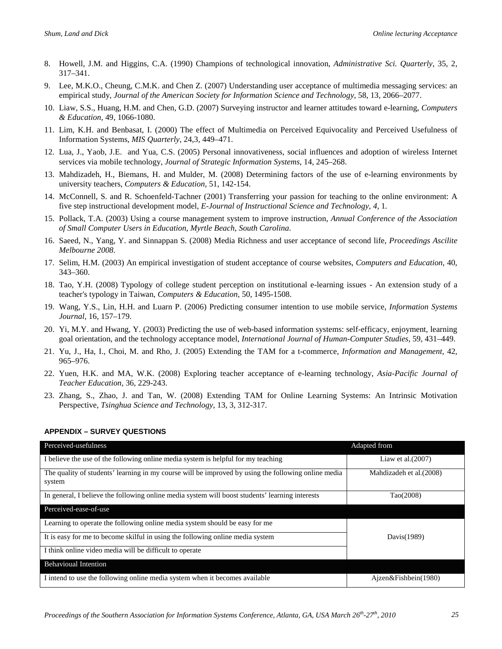- 8. Howell, J.M. and Higgins, C.A. (1990) Champions of technological innovation, *Administrative Sci. Quarterly*, 35, 2, 317–341.
- 9. Lee, M.K.O., Cheung, C.M.K. and Chen Z. (2007) Understanding user acceptance of multimedia messaging services: an empirical study, *Journal of the American Society for Information Science and Technology*, 58, 13, 2066–2077.
- 10. Liaw, S.S., Huang, H.M. and Chen, G.D. (2007) Surveying instructor and learner attitudes toward e-learning, *Computers & Education*, 49, 1066-1080.
- 11. Lim, K.H. and Benbasat, I. (2000) The effect of Multimedia on Perceived Equivocality and Perceived Usefulness of Information Systems, *MIS Quarterly*, 24,3, 449–471.
- 12. Lua, J., Yaob, J.E. and Yua, C.S. (2005) Personal innovativeness, social influences and adoption of wireless Internet services via mobile technology, *Journal of Strategic Information Systems*, 14, 245–268.
- 13. Mahdizadeh, H., Biemans, H. and Mulder, M. (2008) Determining factors of the use of e-learning environments by university teachers, *Computers & Education*, 51, 142-154.
- 14. McConnell, S. and R. Schoenfeld-Tachner (2001) Transferring your passion for teaching to the online environment: A five step instructional development model, *E-Journal of Instructional Science and Technology, 4*, 1*.*
- 15. Pollack, T.A. (2003) Using a course management system to improve instruction, *Annual Conference of the Association of Small Computer Users in Education, Myrtle Beach, South Carolina*.
- 16. Saeed, N., Yang, Y. and Sinnappan S. (2008) Media Richness and user acceptance of second life, *Proceedings Ascilite Melbourne 2008*.
- 17. Selim, H.M. (2003) An empirical investigation of student acceptance of course websites, *Computers and Education*, 40, 343–360.
- 18. Tao, Y.H. (2008) Typology of college student perception on institutional e-learning issues An extension study of a teacher's typology in Taiwan, *Computers & Education*, 50, 1495-1508.
- 19. Wang, Y.S., Lin, H.H. and Luarn P. (2006) Predicting consumer intention to use mobile service, *Information Systems Journal*, 16, 157–179.
- 20. Yi, M.Y. and Hwang, Y. (2003) Predicting the use of web-based information systems: self-efficacy, enjoyment, learning goal orientation, and the technology acceptance model, *International Journal of Human-Computer Studies*, 59, 431–449.
- 21. Yu, J., Ha, I., Choi, M. and Rho, J. (2005) Extending the TAM for a t-commerce, *Information and Management*, 42, 965–976.
- 22. Yuen, H.K. and MA, W.K. (2008) Exploring teacher acceptance of e-learning technology, *Asia-Pacific Journal of Teacher Education*, 36, 229-243.
- 23. Zhang, S., Zhao, J. and Tan, W. (2008) Extending TAM for Online Learning Systems: An Intrinsic Motivation Perspective, *Tsinghua Science and Technology*, 13, 3, 312-317.

| Perceived-usefulness                                                                                          | Adapted from             |
|---------------------------------------------------------------------------------------------------------------|--------------------------|
| I believe the use of the following online media system is helpful for my teaching                             | Liaw et al. $(2007)$     |
| The quality of students' learning in my course will be improved by using the following online media<br>system | Mahdizadeh et al. (2008) |
| In general, I believe the following online media system will boost students' learning interests               | Tao(2008)                |
| Perceived-ease-of-use                                                                                         |                          |
| Learning to operate the following online media system should be easy for me                                   |                          |
| It is easy for me to become skilful in using the following online media system                                | Davis(1989)              |
| I think online video media will be difficult to operate                                                       |                          |
| <b>Behavioual Intention</b>                                                                                   |                          |
| I intend to use the following online media system when it becomes available                                   | Ajzen&Fishbein(1980)     |

#### **APPENDIX – SURVEY QUESTIONS**